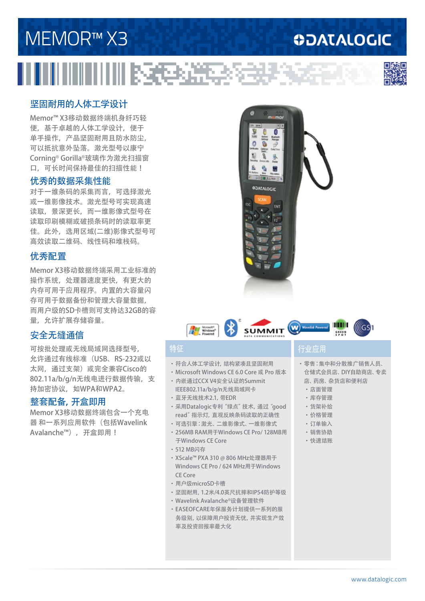#### www.datalogic.com

# MEMOR™ X3 IIIIIIIIIIIIIIIIIIIEEN XEEDAS

### 坚固耐用的人体工学设计

Memor™ X3移动数据终端机身纤巧轻 便,基于卓越的人体工学设计,便于 单手操作,产品坚固耐用且防水防尘, 可以抵抗意外坠落。激光型号以康宁 Corning® Gorilla®玻璃作为激光扫描窗 口,可长时间保持最佳的扫描性能!

#### 优秀的数据采集性能

对于一维条码的采集而言,可选择激光 或一维影像技术。激光型号可实现高速 读取,景深更长,而一维影像式型号在 读取印刷模糊或破损条码时的读取率更 佳。此外,选用区域(二维)影像式型号可 高效读取二维码、线性码和堆栈码。

#### 优秀配置

Memor X3移动数据终端采用工业标准的 操作系统,处理器速度更快,有更大的 内存可用于应用程序。内置的大容量闪 存可用于数据备份和管理大容量数据, 而用户级的SD卡槽则可支持达32GB的容 量,允许扩展存储容量。

#### 安全无缝通信

可按批处理或无线局域网选择型号, 允许通过有线标准(USB、RS-232或以 太网, 通过支架) 或完全兼容Cisco的 802.11a/b/g/n无线电进行数据传输,支 持加密协议,如WPA和WPA2。

#### 整套配备,开盒即用

Memor X3移动数据终端包含一个充电 器 和一系列应用软件(包括Wavelink Avalanche™),开盒即用!

#### ·符合人体工学设计,结构紧凑且坚固耐用

**ALE & SUMMIT WELL** 

- ·Microsoft Windows CE 6.0 Core 或 Pro 版本 ·内嵌通过CCX V4安全认证的Summit
- IEEE802.11a/b/g/n无线局域网卡
- ·蓝牙无线技术2.1,带EDR
- ·采用Datalogic专利"绿点"技术,通过"good read"指示灯,直观反映条码读取的正确性
- ·可选引擎:激光、二维影像式、一维影像式
- ·256MB RAM用于Windows CE Pro/ 128MB用 于Windows CE Core
- ·512 MB闪存
- ·XScale™ PXA 310 @ 806 MHz处理器用于 Windows CE Pro / 624 MHz用于Windows CE Core
- ·用户级microSD卡槽
- ·坚固耐用,1.2米/4.0英尺抗摔和IP54防护等级
- ·Wavelink Avalanche®设备管理软件
- ·EASEOFCARE年保服务计划提供一系列的服 务级别,以保障用户投资无忧,并实现生产效 率及投资回报率最大化

#### 特征 <u> 行业应用</u>

·零售:集中和分散推广销售人员、 仓储式会员店、DIY自助商店、专卖 店、药房、杂货店和便利店

**GREEN SPOT**

**WEITHER** 

llícs sh

- ·店面管理
- ·库存管理
- ·货架补给
- ·价格管理
- ·订单输入
- ·销售协助
- ·快速结账